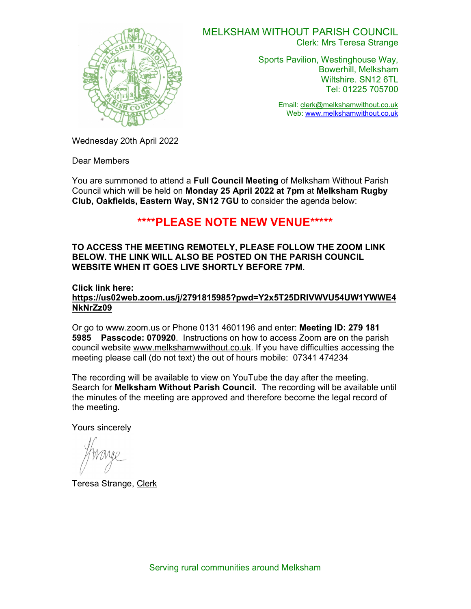

#### MELKSHAM WITHOUT PARISH COUNCIL Clerk: Mrs Teresa Strange

Sports Pavilion, Westinghouse Way, Bowerhill, Melksham Wiltshire. SN12 6TL Tel: 01225 705700

> Email: clerk@melkshamwithout.co.uk Web: www.melkshamwithout.co.uk

Wednesday 20th April 2022

Dear Members

You are summoned to attend a **Full Council Meeting** of Melksham Without Parish Council which will be held on Monday 25 April 2022 at 7pm at Melksham Rugby Club, Oakfields, Eastern Way, SN12 7GU to consider the agenda below:

# \*\*\*\*PLEASE NOTE NEW VENUE\*\*\*\*\*

### TO ACCESS THE MEETING REMOTELY, PLEASE FOLLOW THE ZOOM LINK BELOW. THE LINK WILL ALSO BE POSTED ON THE PARISH COUNCIL WEBSITE WHEN IT GOES LIVE SHORTLY BEFORE 7PM.

### Click link here:

https://us02web.zoom.us/j/2791815985?pwd=Y2x5T25DRlVWVU54UW1YWWE4 NkNrZz09

Or go to www.zoom.us or Phone 0131 4601196 and enter: Meeting ID: 279 181 5985 Passcode: 070920. Instructions on how to access Zoom are on the parish council website www.melkshamwwithout.co.uk. If you have difficulties accessing the meeting please call (do not text) the out of hours mobile: 07341 474234

The recording will be available to view on YouTube the day after the meeting. Search for **Melksham Without Parish Council.** The recording will be available until the minutes of the meeting are approved and therefore become the legal record of the meeting.

Yours sincerely

Teresa Strange, Clerk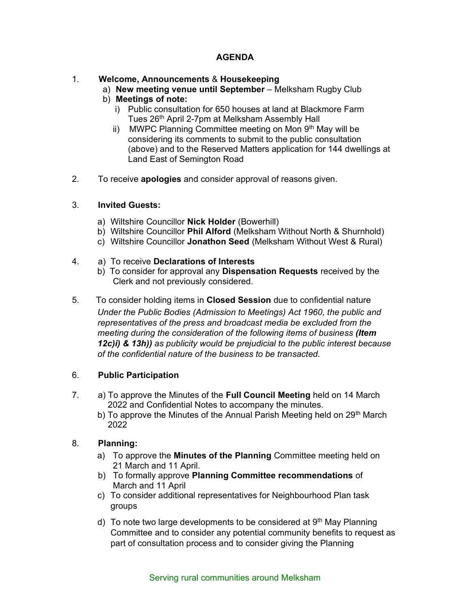# AGENDA

# 1. Welcome, Announcements & Housekeeping

- a) New meeting venue until September Melksham Rugby Club
- b) Meetings of note:
	- i) Public consultation for 650 houses at land at Blackmore Farm Tues 26th April 2-7pm at Melksham Assembly Hall
	- ii) MWPC Planning Committee meeting on Mon 9<sup>th</sup> May will be considering its comments to submit to the public consultation (above) and to the Reserved Matters application for 144 dwellings at Land East of Semington Road
- 2. To receive **apologies** and consider approval of reasons given.

# 3. Invited Guests:

- a) Wiltshire Councillor Nick Holder (Bowerhill)
- b) Wiltshire Councillor Phil Alford (Melksham Without North & Shurnhold)
- c) Wiltshire Councillor Jonathon Seed (Melksham Without West & Rural)

### 4. a) To receive Declarations of Interests

- b) To consider for approval any Dispensation Requests received by the Clerk and not previously considered.
- 5. To consider holding items in Closed Session due to confidential nature Under the Public Bodies (Admission to Meetings) Act 1960, the public and representatives of the press and broadcast media be excluded from the meeting during the consideration of the following items of business (Item 12c)i) & 13h)) as publicity would be prejudicial to the public interest because of the confidential nature of the business to be transacted.

# 6. Public Participation

- 7. a) To approve the Minutes of the Full Council Meeting held on 14 March 2022 and Confidential Notes to accompany the minutes.
	- b) To approve the Minutes of the Annual Parish Meeting held on 29<sup>th</sup> March 2022

# 8. Planning:

- a) To approve the **Minutes of the Planning** Committee meeting held on 21 March and 11 April.
- b) To formally approve Planning Committee recommendations of March and 11 April
- c) To consider additional representatives for Neighbourhood Plan task groups
- d) To note two large developments to be considered at  $9<sup>th</sup>$  May Planning Committee and to consider any potential community benefits to request as part of consultation process and to consider giving the Planning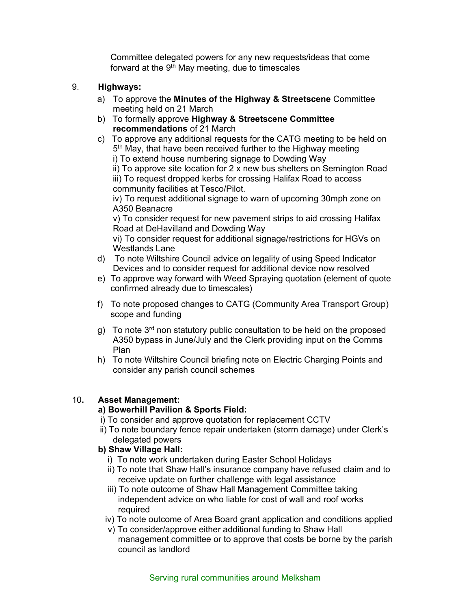Committee delegated powers for any new requests/ideas that come forward at the  $9<sup>th</sup>$  May meeting, due to timescales

# 9. Highways:

- a) To approve the Minutes of the Highway & Streetscene Committee meeting held on 21 March
- b) To formally approve Highway & Streetscene Committee recommendations of 21 March
- c) To approve any additional requests for the CATG meeting to be held on 5<sup>th</sup> May, that have been received further to the Highway meeting

i) To extend house numbering signage to Dowding Way

 ii) To approve site location for 2 x new bus shelters on Semington Road iii) To request dropped kerbs for crossing Halifax Road to access community facilities at Tesco/Pilot.

 iv) To request additional signage to warn of upcoming 30mph zone on A350 Beanacre

 v) To consider request for new pavement strips to aid crossing Halifax Road at DeHavilland and Dowding Way

 vi) To consider request for additional signage/restrictions for HGVs on Westlands Lane

- d) To note Wiltshire Council advice on legality of using Speed Indicator Devices and to consider request for additional device now resolved
- e) To approve way forward with Weed Spraying quotation (element of quote confirmed already due to timescales)
- f) To note proposed changes to CATG (Community Area Transport Group) scope and funding
- g) To note  $3<sup>rd</sup>$  non statutory public consultation to be held on the proposed A350 bypass in June/July and the Clerk providing input on the Comms Plan
- h) To note Wiltshire Council briefing note on Electric Charging Points and consider any parish council schemes

# 10. Asset Management:

# a) Bowerhill Pavilion & Sports Field:

- i) To consider and approve quotation for replacement CCTV
- ii) To note boundary fence repair undertaken (storm damage) under Clerk's delegated powers
- b) Shaw Village Hall:
	- i) To note work undertaken during Easter School Holidays
	- ii) To note that Shaw Hall's insurance company have refused claim and to receive update on further challenge with legal assistance
	- iii) To note outcome of Shaw Hall Management Committee taking independent advice on who liable for cost of wall and roof works required
	- iv) To note outcome of Area Board grant application and conditions applied
	- v) To consider/approve either additional funding to Shaw Hall management committee or to approve that costs be borne by the parish council as landlord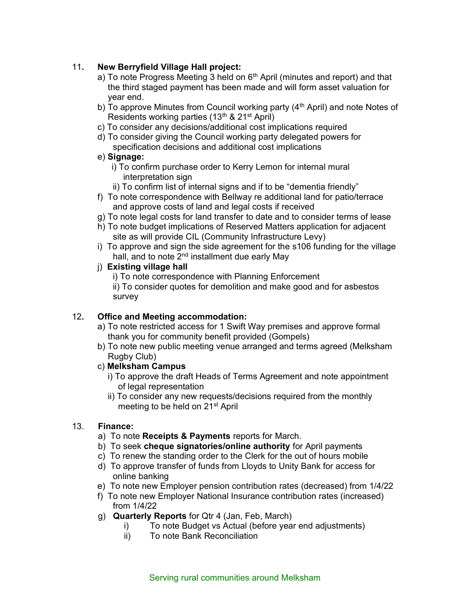# 11. New Berryfield Village Hall project:

- a) To note Progress Meeting 3 held on  $6<sup>th</sup>$  April (minutes and report) and that the third staged payment has been made and will form asset valuation for year end.
- b) To approve Minutes from Council working party  $(4<sup>th</sup>$  April) and note Notes of Residents working parties (13<sup>th</sup> & 21<sup>st</sup> April)
- c) To consider any decisions/additional cost implications required
- d) To consider giving the Council working party delegated powers for specification decisions and additional cost implications

# e) Signage:

- i) To confirm purchase order to Kerry Lemon for internal mural interpretation sign
- ii) To confirm list of internal signs and if to be "dementia friendly"
- f) To note correspondence with Bellway re additional land for patio/terrace and approve costs of land and legal costs if received
- g) To note legal costs for land transfer to date and to consider terms of lease
- h) To note budget implications of Reserved Matters application for adjacent site as will provide CIL (Community Infrastructure Levy)
- i) To approve and sign the side agreement for the s106 funding for the village hall, and to note 2<sup>nd</sup> installment due early May

### j) Existing village hall

i) To note correspondence with Planning Enforcement

ii) To consider quotes for demolition and make good and for asbestos survey

# 12. Office and Meeting accommodation:

- a) To note restricted access for 1 Swift Way premises and approve formal thank you for community benefit provided (Gompels)
- b) To note new public meeting venue arranged and terms agreed (Melksham Rugby Club)
- c) Melksham Campus
	- i) To approve the draft Heads of Terms Agreement and note appointment of legal representation
	- ii) To consider any new requests/decisions required from the monthly meeting to be held on 21<sup>st</sup> April

# 13. Finance:

- a) To note Receipts & Payments reports for March.
- b) To seek cheque signatories/online authority for April payments
- c) To renew the standing order to the Clerk for the out of hours mobile
- d) To approve transfer of funds from Lloyds to Unity Bank for access for online banking
- e) To note new Employer pension contribution rates (decreased) from 1/4/22
- f) To note new Employer National Insurance contribution rates (increased) from 1/4/22
- g) Quarterly Reports for Qtr 4 (Jan, Feb, March)
	- i) To note Budget vs Actual (before year end adjustments)
	- ii) To note Bank Reconciliation